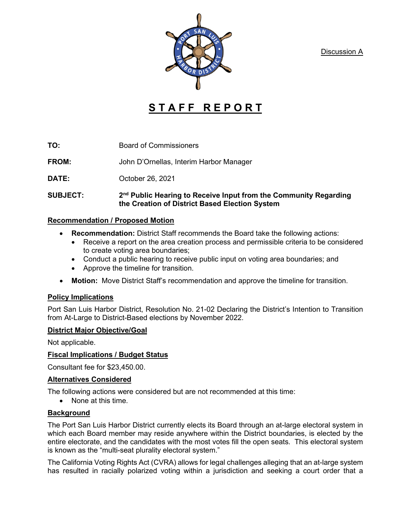Discussion A



# **S T A F F R E P O R T**

**TO:** Board of Commissioners

**FROM:** John D'Ornellas, Interim Harbor Manager

**DATE:** October 26, 2021

#### **SUBJECT: 2nd Public Hearing to Receive Input from the Community Regarding the Creation of District Based Election System**

#### **Recommendation / Proposed Motion**

- **Recommendation:** District Staff recommends the Board take the following actions:
	- Receive a report on the area creation process and permissible criteria to be considered to create voting area boundaries;
	- Conduct a public hearing to receive public input on voting area boundaries; and
	- Approve the timeline for transition.
- **Motion:** Move District Staff's recommendation and approve the timeline for transition.

## **Policy Implications**

Port San Luis Harbor District, Resolution No. 21-02 Declaring the District's Intention to Transition from At-Large to District-Based elections by November 2022.

## **District Major Objective/Goal**

Not applicable.

## **Fiscal Implications / Budget Status**

Consultant fee for \$23,450.00.

## **Alternatives Considered**

The following actions were considered but are not recommended at this time:

• None at this time.

## **Background**

The Port San Luis Harbor District currently elects its Board through an at-large electoral system in which each Board member may reside anywhere within the District boundaries, is elected by the entire electorate, and the candidates with the most votes fill the open seats. This electoral system is known as the "multi-seat plurality electoral system."

The California Voting Rights Act (CVRA) allows for legal challenges alleging that an at-large system has resulted in racially polarized voting within a jurisdiction and seeking a court order that a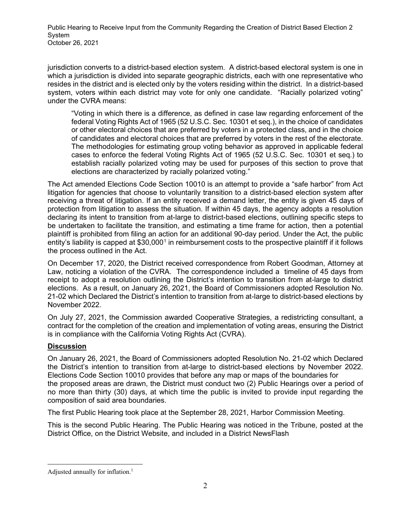Public Hearing to Receive Input from the Community Regarding the Creation of District Based Election 2 System October 26, 2021

jurisdiction converts to a district-based election system. A district-based electoral system is one in which a jurisdiction is divided into separate geographic districts, each with one representative who resides in the district and is elected only by the voters residing within the district. In a district-based system, voters within each district may vote for only one candidate. "Racially polarized voting" under the CVRA means:

"Voting in which there is a difference, as defined in case law regarding enforcement of the federal Voting Rights Act of 1965 (52 U.S.C. Sec. 10301 et seq.), in the choice of candidates or other electoral choices that are preferred by voters in a protected class, and in the choice of candidates and electoral choices that are preferred by voters in the rest of the electorate. The methodologies for estimating group voting behavior as approved in applicable federal cases to enforce the federal Voting Rights Act of 1965 (52 U.S.C. Sec. 10301 et seq.) to establish racially polarized voting may be used for purposes of this section to prove that elections are characterized by racially polarized voting."

The Act amended Elections Code Section 10010 is an attempt to provide a "safe harbor" from Act litigation for agencies that choose to voluntarily transition to a district-based election system after receiving a threat of litigation. If an entity received a demand letter, the entity is given 45 days of protection from litigation to assess the situation. If within 45 days, the agency adopts a resolution declaring its intent to transition from at-large to district-based elections, outlining specific steps to be undertaken to facilitate the transition, and estimating a time frame for action, then a potential plaintiff is prohibited from filing an action for an additional 90-day period. Under the Act, the public entity's liability is capped at \$30,000<sup>[1](#page-1-0)</sup> in reimbursement costs to the prospective plaintiff if it follows the process outlined in the Act.

On December 17, 2020, the District received correspondence from Robert Goodman, Attorney at Law, noticing a violation of the CVRA. The correspondence included a timeline of 45 days from receipt to adopt a resolution outlining the District's intention to transition from at-large to district elections. As a result, on January 26, 2021, the Board of Commissioners adopted Resolution No. 21-02 which Declared the District's intention to transition from at-large to district-based elections by November 2022.

On July 27, 2021, the Commission awarded Cooperative Strategies, a redistricting consultant, a contract for the completion of the creation and implementation of voting areas, ensuring the District is in compliance with the California Voting Rights Act (CVRA).

## **Discussion**

On January 26, 2021, the Board of Commissioners adopted Resolution No. 21-02 which Declared the District's intention to transition from at-large to district-based elections by November 2022. Elections Code Section 10010 provides that before any map or maps of the boundaries for the proposed areas are drawn, the District must conduct two (2) Public Hearings over a period of no more than thirty (30) days, at which time the public is invited to provide input regarding the composition of said area boundaries.

The first Public Hearing took place at the September 28, 2021, Harbor Commission Meeting.

This is the second Public Hearing. The Public Hearing was noticed in the Tribune, posted at the District Office, on the District Website, and included in a District NewsFlash

<span id="page-1-0"></span>Adjusted annually for inflation.<sup>1</sup>